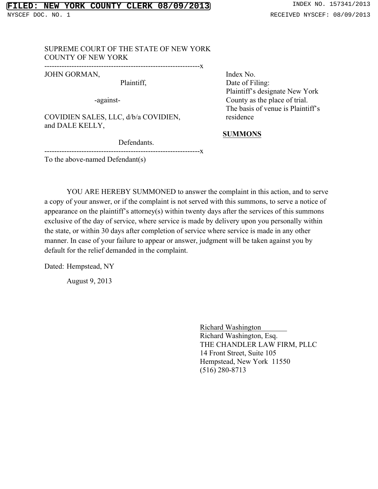#### SUPREME COURT OF THE STATE OF NEW YORK COUNTY OF NEW YORK

---------------------------------------------------------------x

JOHN GORMAN,

Plaintiff,

-against-

COVIDIEN SALES, LLC, d/b/a COVIDIEN, and DALE KELLY,

Defendants.

Index No. Date of Filing: Plaintiff's designate New York County as the place of trial. The basis of venue is Plaintiff's residence

#### **SUMMONS**

---------------------------------------------------------------x

To the above-named Defendant(s)

YOU ARE HEREBY SUMMONED to answer the complaint in this action, and to serve a copy of your answer, or if the complaint is not served with this summons, to serve a notice of appearance on the plaintiff's attorney(s) within twenty days after the services of this summons exclusive of the day of service, where service is made by delivery upon you personally within the state, or within 30 days after completion of service where service is made in any other manner. In case of your failure to appear or answer, judgment will be taken against you by default for the relief demanded in the complaint.

Dated: Hempstead, NY

August 9, 2013

Richard Washington\_\_\_\_\_\_\_ Richard Washington, Esq. THE CHANDLER LAW FIRM, PLLC 14 Front Street, Suite 105 Hempstead, New York 11550 (516) 280-8713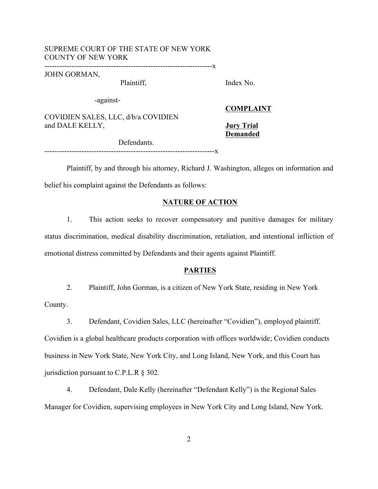### SUPREME COURT OF THE STATE OF NEW YORK COUNTY OF NEW YORK

--------------------------------------------------------------------x

JOHN GORMAN,

Plaintiff,

Index No.

-against-

COVIDIEN SALES, LLC, d/b/a COVIDIEN and DALE KELLY,

**COMPLAINT**

**Jury Trial Demanded**

 Defendants. ---------------------------------------------------------------------x

Plaintiff, by and through his attorney, Richard J. Washington, alleges on information and belief his complaint against the Defendants as follows:

#### **NATURE OF ACTION**

1. This action seeks to recover compensatory and punitive damages for military status discrimination, medical disability discrimination, retaliation, and intentional infliction of emotional distress committed by Defendants and their agents against Plaintiff.

#### **PARTIES**

2. Plaintiff, John Gorman, is a citizen of New York State, residing in New York

County.

3. Defendant, Covidien Sales, LLC (hereinafter "Covidien"), employed plaintiff.

Covidien is a global healthcare products corporation with offices worldwide; Covidien conducts business in New York State, New York City, and Long Island, New York, and this Court has jurisdiction pursuant to C.P.L.R § 302.

4. Defendant, Dale Kelly (hereinafter "Defendant Kelly") is the Regional Sales Manager for Covidien, supervising employees in New York City and Long Island, New York.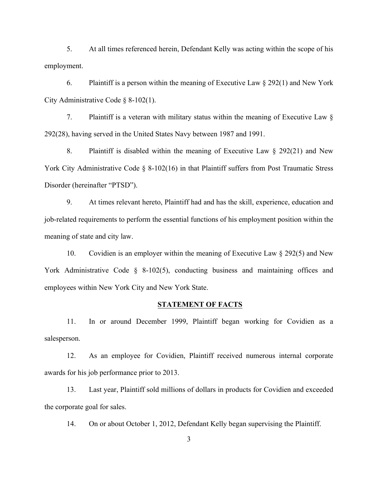5. At all times referenced herein, Defendant Kelly was acting within the scope of his employment.

6. Plaintiff is a person within the meaning of Executive Law  $\S 292(1)$  and New York City Administrative Code § 8-102(1).

7. Plaintiff is a veteran with military status within the meaning of Executive Law § 292(28), having served in the United States Navy between 1987 and 1991.

8. Plaintiff is disabled within the meaning of Executive Law § 292(21) and New York City Administrative Code § 8-102(16) in that Plaintiff suffers from Post Traumatic Stress Disorder (hereinafter "PTSD").

9. At times relevant hereto, Plaintiff had and has the skill, experience, education and job-related requirements to perform the essential functions of his employment position within the meaning of state and city law.

10. Covidien is an employer within the meaning of Executive Law § 292(5) and New York Administrative Code § 8-102(5), conducting business and maintaining offices and employees within New York City and New York State.

#### **STATEMENT OF FACTS**

11. In or around December 1999, Plaintiff began working for Covidien as a salesperson.

12. As an employee for Covidien, Plaintiff received numerous internal corporate awards for his job performance prior to 2013.

13. Last year, Plaintiff sold millions of dollars in products for Covidien and exceeded the corporate goal for sales.

14. On or about October 1, 2012, Defendant Kelly began supervising the Plaintiff.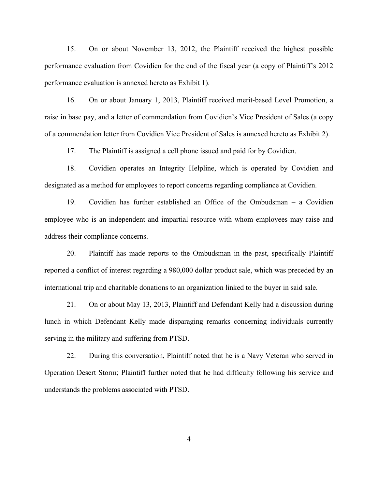15. On or about November 13, 2012, the Plaintiff received the highest possible performance evaluation from Covidien for the end of the fiscal year (a copy of Plaintiff's 2012 performance evaluation is annexed hereto as Exhibit 1).

16. On or about January 1, 2013, Plaintiff received merit-based Level Promotion, a raise in base pay, and a letter of commendation from Covidien's Vice President of Sales (a copy of a commendation letter from Covidien Vice President of Sales is annexed hereto as Exhibit 2).

17. The Plaintiff is assigned a cell phone issued and paid for by Covidien.

18. Covidien operates an Integrity Helpline, which is operated by Covidien and designated as a method for employees to report concerns regarding compliance at Covidien.

19. Covidien has further established an Office of the Ombudsman – a Covidien employee who is an independent and impartial resource with whom employees may raise and address their compliance concerns.

20. Plaintiff has made reports to the Ombudsman in the past, specifically Plaintiff reported a conflict of interest regarding a 980,000 dollar product sale, which was preceded by an international trip and charitable donations to an organization linked to the buyer in said sale.

21. On or about May 13, 2013, Plaintiff and Defendant Kelly had a discussion during lunch in which Defendant Kelly made disparaging remarks concerning individuals currently serving in the military and suffering from PTSD.

22. During this conversation, Plaintiff noted that he is a Navy Veteran who served in Operation Desert Storm; Plaintiff further noted that he had difficulty following his service and understands the problems associated with PTSD.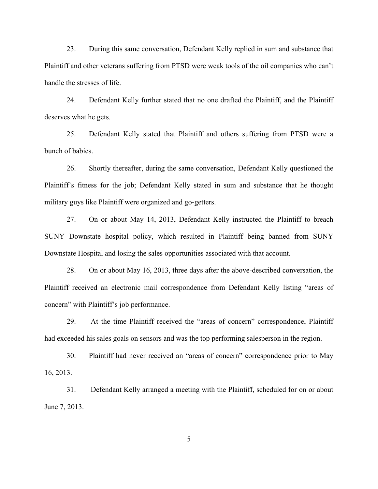23. During this same conversation, Defendant Kelly replied in sum and substance that Plaintiff and other veterans suffering from PTSD were weak tools of the oil companies who can't handle the stresses of life.

24. Defendant Kelly further stated that no one drafted the Plaintiff, and the Plaintiff deserves what he gets.

25. Defendant Kelly stated that Plaintiff and others suffering from PTSD were a bunch of babies.

26. Shortly thereafter, during the same conversation, Defendant Kelly questioned the Plaintiff's fitness for the job; Defendant Kelly stated in sum and substance that he thought military guys like Plaintiff were organized and go-getters.

27. On or about May 14, 2013, Defendant Kelly instructed the Plaintiff to breach SUNY Downstate hospital policy, which resulted in Plaintiff being banned from SUNY Downstate Hospital and losing the sales opportunities associated with that account.

28. On or about May 16, 2013, three days after the above-described conversation, the Plaintiff received an electronic mail correspondence from Defendant Kelly listing "areas of concern" with Plaintiff's job performance.

29. At the time Plaintiff received the "areas of concern" correspondence, Plaintiff had exceeded his sales goals on sensors and was the top performing salesperson in the region.

30. Plaintiff had never received an "areas of concern" correspondence prior to May 16, 2013.

31. Defendant Kelly arranged a meeting with the Plaintiff, scheduled for on or about June 7, 2013.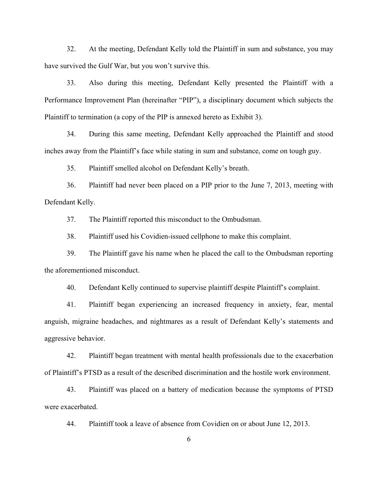32. At the meeting, Defendant Kelly told the Plaintiff in sum and substance, you may have survived the Gulf War, but you won't survive this.

33. Also during this meeting, Defendant Kelly presented the Plaintiff with a Performance Improvement Plan (hereinafter "PIP"), a disciplinary document which subjects the Plaintiff to termination (a copy of the PIP is annexed hereto as Exhibit 3).

34. During this same meeting, Defendant Kelly approached the Plaintiff and stood inches away from the Plaintiff's face while stating in sum and substance, come on tough guy.

35. Plaintiff smelled alcohol on Defendant Kelly's breath.

36. Plaintiff had never been placed on a PIP prior to the June 7, 2013, meeting with Defendant Kelly.

37. The Plaintiff reported this misconduct to the Ombudsman.

38. Plaintiff used his Covidien-issued cellphone to make this complaint.

39. The Plaintiff gave his name when he placed the call to the Ombudsman reporting the aforementioned misconduct.

40. Defendant Kelly continued to supervise plaintiff despite Plaintiff's complaint.

41. Plaintiff began experiencing an increased frequency in anxiety, fear, mental anguish, migraine headaches, and nightmares as a result of Defendant Kelly's statements and aggressive behavior.

42. Plaintiff began treatment with mental health professionals due to the exacerbation of Plaintiff's PTSD as a result of the described discrimination and the hostile work environment.

43. Plaintiff was placed on a battery of medication because the symptoms of PTSD were exacerbated.

44. Plaintiff took a leave of absence from Covidien on or about June 12, 2013.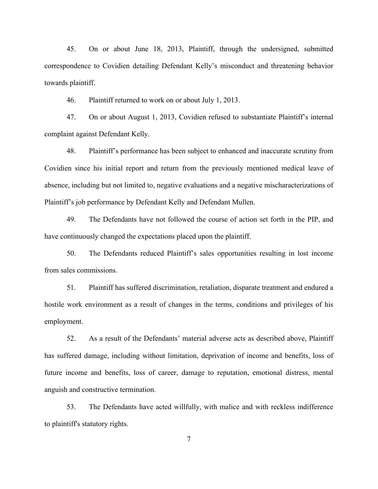45. On or about June 18, 2013, Plaintiff, through the undersigned, submitted correspondence to Covidien detailing Defendant Kelly's misconduct and threatening behavior towards plaintiff.

46. Plaintiff returned to work on or about July 1, 2013.

47. On or about August 1, 2013, Covidien refused to substantiate Plaintiff's internal complaint against Defendant Kelly.

48. Plaintiff's performance has been subject to enhanced and inaccurate scrutiny from Covidien since his initial report and return from the previously mentioned medical leave of absence, including but not limited to, negative evaluations and a negative mischaracterizations of Plaintiff's job performance by Defendant Kelly and Defendant Mullen.

49. The Defendants have not followed the course of action set forth in the PIP, and have continuously changed the expectations placed upon the plaintiff.

50. The Defendants reduced Plaintiff's sales opportunities resulting in lost income from sales commissions.

51. Plaintiff has suffered discrimination, retaliation, disparate treatment and endured a hostile work environment as a result of changes in the terms, conditions and privileges of his employment.

52. As a result of the Defendants' material adverse acts as described above, Plaintiff has suffered damage, including without limitation, deprivation of income and benefits, loss of future income and benefits, loss of career, damage to reputation, emotional distress, mental anguish and constructive termination.

53. The Defendants have acted willfully, with malice and with reckless indifference to plaintiff's statutory rights.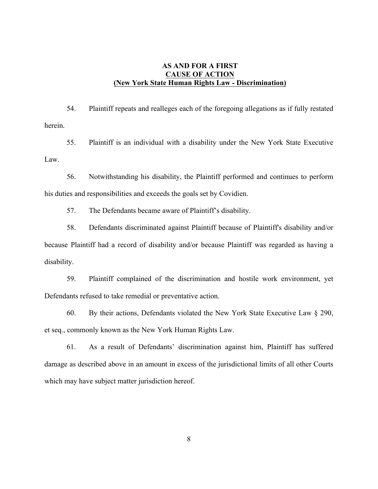## **AS AND FOR A FIRST CAUSE OF ACTION (New York State Human Rights Law - Discrimination)**

54. Plaintiff repeats and realleges each of the foregoing allegations as if fully restated herein.

55. Plaintiff is an individual with a disability under the New York State Executive Law.

56. Notwithstanding his disability, the Plaintiff performed and continues to perform his duties and responsibilities and exceeds the goals set by Covidien.

57. The Defendants became aware of Plaintiff's disability.

58. Defendants discriminated against Plaintiff because of Plaintiff's disability and/or because Plaintiff had a record of disability and/or because Plaintiff was regarded as having a disability.

59. Plaintiff complained of the discrimination and hostile work environment, yet Defendants refused to take remedial or preventative action.

60. By their actions, Defendants violated the New York State Executive Law § 290, et seq., commonly known as the New York Human Rights Law.

61. As a result of Defendants' discrimination against him, Plaintiff has suffered damage as described above in an amount in excess of the jurisdictional limits of all other Courts which may have subject matter jurisdiction hereof.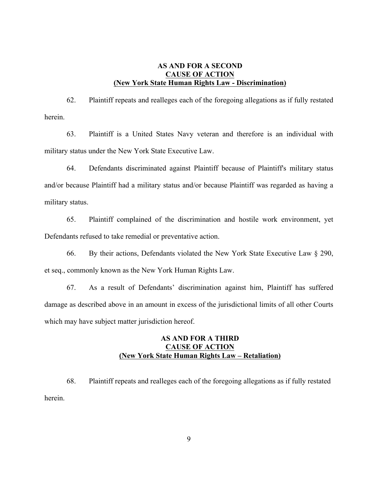### **AS AND FOR A SECOND CAUSE OF ACTION (New York State Human Rights Law - Discrimination)**

62. Plaintiff repeats and realleges each of the foregoing allegations as if fully restated herein.

63. Plaintiff is a United States Navy veteran and therefore is an individual with military status under the New York State Executive Law.

64. Defendants discriminated against Plaintiff because of Plaintiff's military status and/or because Plaintiff had a military status and/or because Plaintiff was regarded as having a military status.

65. Plaintiff complained of the discrimination and hostile work environment, yet Defendants refused to take remedial or preventative action.

66. By their actions, Defendants violated the New York State Executive Law § 290, et seq., commonly known as the New York Human Rights Law.

67. As a result of Defendants' discrimination against him, Plaintiff has suffered damage as described above in an amount in excess of the jurisdictional limits of all other Courts which may have subject matter jurisdiction hereof.

# **AS AND FOR A THIRD CAUSE OF ACTION (New York State Human Rights Law – Retaliation)**

68. Plaintiff repeats and realleges each of the foregoing allegations as if fully restated herein.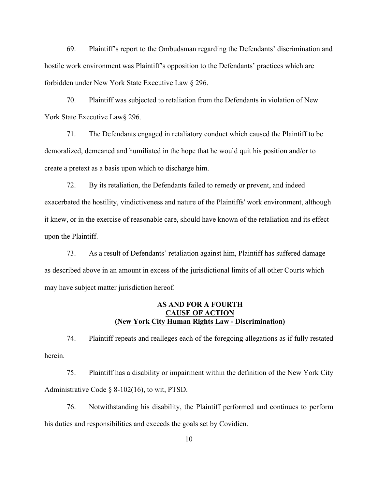69. Plaintiff's report to the Ombudsman regarding the Defendants' discrimination and hostile work environment was Plaintiff's opposition to the Defendants' practices which are forbidden under New York State Executive Law § 296.

70. Plaintiff was subjected to retaliation from the Defendants in violation of New York State Executive Law§ 296.

71. The Defendants engaged in retaliatory conduct which caused the Plaintiff to be demoralized, demeaned and humiliated in the hope that he would quit his position and/or to create a pretext as a basis upon which to discharge him.

72. By its retaliation, the Defendants failed to remedy or prevent, and indeed exacerbated the hostility, vindictiveness and nature of the Plaintiffs' work environment, although it knew, or in the exercise of reasonable care, should have known of the retaliation and its effect upon the Plaintiff.

73. As a result of Defendants' retaliation against him, Plaintiff has suffered damage as described above in an amount in excess of the jurisdictional limits of all other Courts which may have subject matter jurisdiction hereof.

## **AS AND FOR A FOURTH CAUSE OF ACTION (New York City Human Rights Law - Discrimination)**

74. Plaintiff repeats and realleges each of the foregoing allegations as if fully restated herein.

75. Plaintiff has a disability or impairment within the definition of the New York City Administrative Code § 8-102(16), to wit, PTSD.

76. Notwithstanding his disability, the Plaintiff performed and continues to perform his duties and responsibilities and exceeds the goals set by Covidien.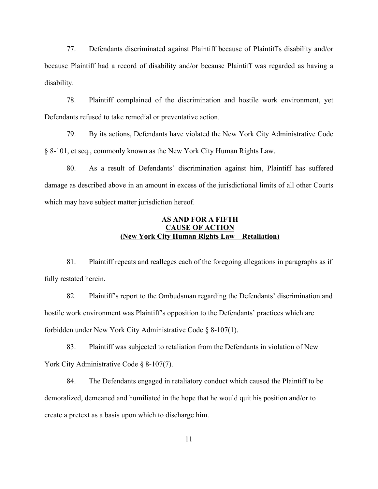77. Defendants discriminated against Plaintiff because of Plaintiff's disability and/or because Plaintiff had a record of disability and/or because Plaintiff was regarded as having a disability.

78. Plaintiff complained of the discrimination and hostile work environment, yet Defendants refused to take remedial or preventative action.

79. By its actions, Defendants have violated the New York City Administrative Code § 8-101, et seq., commonly known as the New York City Human Rights Law.

80. As a result of Defendants' discrimination against him, Plaintiff has suffered damage as described above in an amount in excess of the jurisdictional limits of all other Courts which may have subject matter jurisdiction hereof.

## **AS AND FOR A FIFTH CAUSE OF ACTION (New York City Human Rights Law – Retaliation)**

81. Plaintiff repeats and realleges each of the foregoing allegations in paragraphs as if fully restated herein.

82. Plaintiff's report to the Ombudsman regarding the Defendants' discrimination and hostile work environment was Plaintiff's opposition to the Defendants' practices which are forbidden under New York City Administrative Code § 8-107(1).

83. Plaintiff was subjected to retaliation from the Defendants in violation of New York City Administrative Code § 8-107(7).

84. The Defendants engaged in retaliatory conduct which caused the Plaintiff to be demoralized, demeaned and humiliated in the hope that he would quit his position and/or to create a pretext as a basis upon which to discharge him.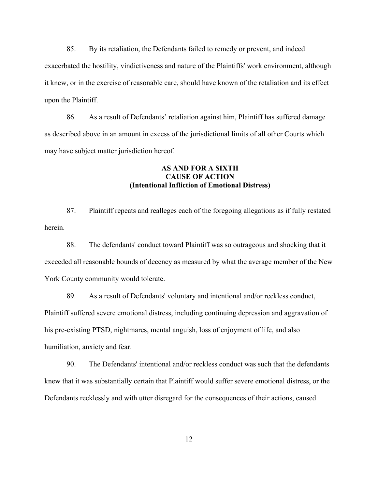85. By its retaliation, the Defendants failed to remedy or prevent, and indeed exacerbated the hostility, vindictiveness and nature of the Plaintiffs' work environment, although it knew, or in the exercise of reasonable care, should have known of the retaliation and its effect upon the Plaintiff.

86. As a result of Defendants' retaliation against him, Plaintiff has suffered damage as described above in an amount in excess of the jurisdictional limits of all other Courts which may have subject matter jurisdiction hereof.

## **AS AND FOR A SIXTH CAUSE OF ACTION (Intentional Infliction of Emotional Distress)**

87. Plaintiff repeats and realleges each of the foregoing allegations as if fully restated herein.

88. The defendants' conduct toward Plaintiff was so outrageous and shocking that it exceeded all reasonable bounds of decency as measured by what the average member of the New York County community would tolerate.

89. As a result of Defendants' voluntary and intentional and/or reckless conduct, Plaintiff suffered severe emotional distress, including continuing depression and aggravation of his pre-existing PTSD, nightmares, mental anguish, loss of enjoyment of life, and also humiliation, anxiety and fear.

90. The Defendants' intentional and/or reckless conduct was such that the defendants knew that it was substantially certain that Plaintiff would suffer severe emotional distress, or the Defendants recklessly and with utter disregard for the consequences of their actions, caused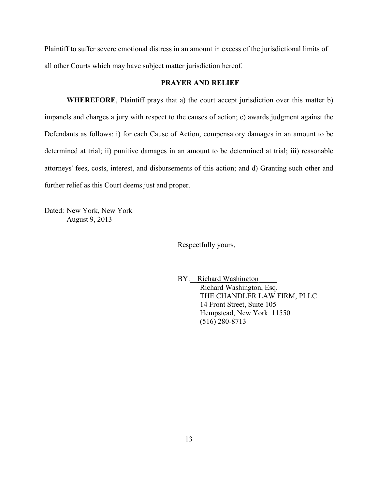Plaintiff to suffer severe emotional distress in an amount in excess of the jurisdictional limits of all other Courts which may have subject matter jurisdiction hereof.

#### **PRAYER AND RELIEF**

**WHEREFORE**, Plaintiff prays that a) the court accept jurisdiction over this matter b) impanels and charges a jury with respect to the causes of action; c) awards judgment against the Defendants as follows: i) for each Cause of Action, compensatory damages in an amount to be determined at trial; ii) punitive damages in an amount to be determined at trial; iii) reasonable attorneys' fees, costs, interest, and disbursements of this action; and d) Granting such other and further relief as this Court deems just and proper.

Dated: New York, New York August 9, 2013

Respectfully yours,

BY: Richard Washington Richard Washington, Esq. THE CHANDLER LAW FIRM, PLLC 14 Front Street, Suite 105 Hempstead, New York 11550 (516) 280-8713